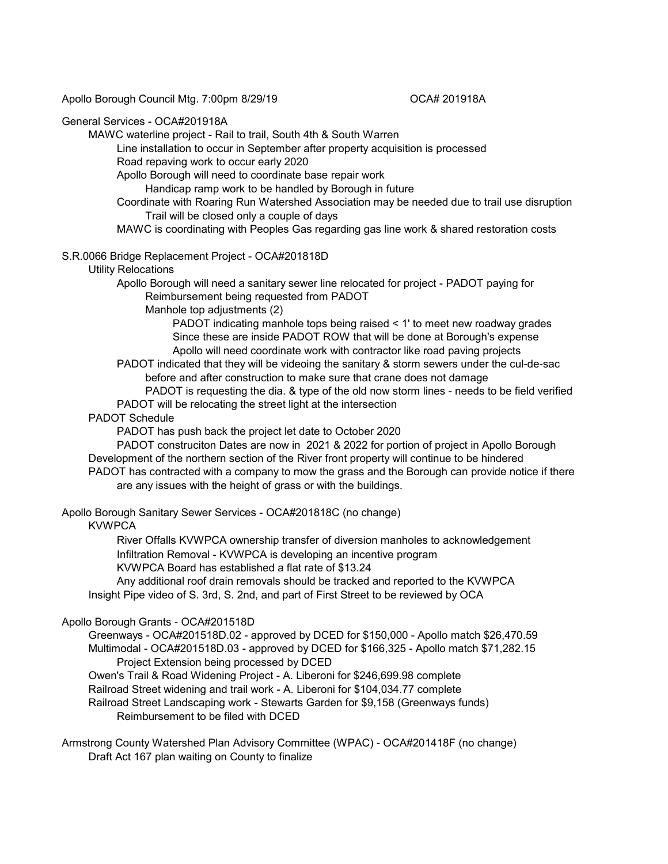Apollo Borough Council Mtg. 7:00pm 8/29/19 <br>
and the COL of the COLO COLO 21918A

#### General Services - OCA#201918A

MAWC waterline project - Rail to trail, South 4th & South Warren

Line installation to occur in September after property acquisition is processed

Road repaving work to occur early 2020

Apollo Borough will need to coordinate base repair work

Handicap ramp work to be handled by Borough in future

Coordinate with Roaring Run Watershed Association may be needed due to trail use disruption Trail will be closed only a couple of days

MAWC is coordinating with Peoples Gas regarding gas line work & shared restoration costs

### S.R.0066 Bridge Replacement Project - OCA#201818D

### Utility Relocations

Apollo Borough will need a sanitary sewer line relocated for project - PADOT paying for Reimbursement being requested from PADOT

Manhole top adjustments (2)

PADOT indicating manhole tops being raised < 1' to meet new roadway grades Since these are inside PADOT ROW that will be done at Borough's expense Apollo will need coordinate work with contractor like road paving projects

PADOT indicated that they will be videoing the sanitary & storm sewers under the cul-de-sac before and after construction to make sure that crane does not damage

PADOT is requesting the dia. & type of the old now storm lines - needs to be field verified PADOT will be relocating the street light at the intersection

## PADOT Schedule

PADOT has push back the project let date to October 2020

PADOT construciton Dates are now in 2021 & 2022 for portion of project in Apollo Borough

Development of the northern section of the River front property will continue to be hindered

PADOT has contracted with a company to mow the grass and the Borough can provide notice if there are any issues with the height of grass or with the buildings.

Apollo Borough Sanitary Sewer Services - OCA#201818C (no change)

# KVWPCA

River Offalls KVWPCA ownership transfer of diversion manholes to acknowledgement Infiltration Removal - KVWPCA is developing an incentive program KVWPCA Board has established a flat rate of \$13.24

Any additional roof drain removals should be tracked and reported to the KVWPCA Insight Pipe video of S. 3rd, S. 2nd, and part of First Street to be reviewed by OCA

## Apollo Borough Grants - OCA#201518D

Greenways - OCA#201518D.02 - approved by DCED for \$150,000 - Apollo match \$26,470.59 Multimodal - OCA#201518D.03 - approved by DCED for \$166,325 - Apollo match \$71,282.15 Project Extension being processed by DCED

Owen's Trail & Road Widening Project - A. Liberoni for \$246,699.98 complete

Railroad Street widening and trail work - A. Liberoni for \$104,034.77 complete

Railroad Street Landscaping work - Stewarts Garden for \$9,158 (Greenways funds) Reimbursement to be filed with DCED

Armstrong County Watershed Plan Advisory Committee (WPAC) - OCA#201418F (no change) Draft Act 167 plan waiting on County to finalize